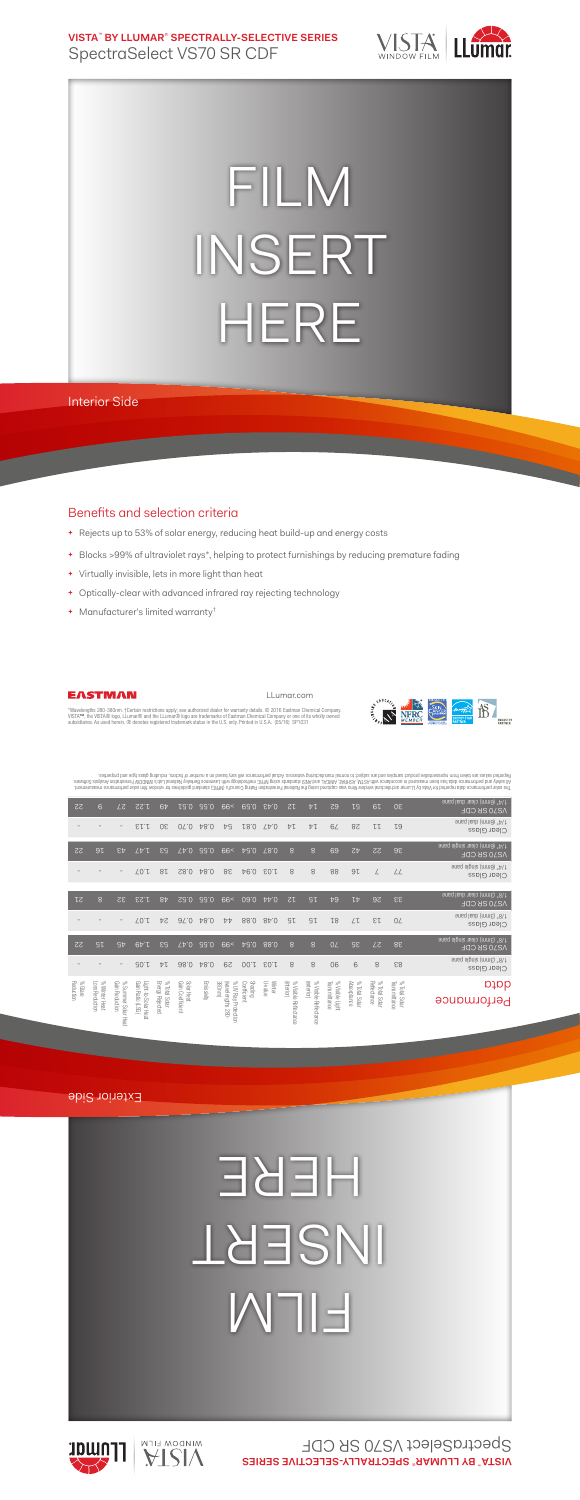**VISTA**™  **BY LLUMAR**®  **SPECTRALLY-SELECTIVE SERIES** SpectraSelect VS70 SR CDF



## FILM INSERT HERE

Interior Side

## Benefits and selection criteria

- **+** Rejects up to 53% of solar energy, reducing heat build-up and energy costs
- **+** Blocks >99% of ultraviolet rays\*, helping to protect furnishings by reducing premature fading

LLumar.com

- **+** Virtually invisible, lets in more light than heat
- **+** Optically-clear with advanced infrared ray rejecting technology
- **+** Manufacturer's limited warranty†



EASTMAN

"Wavelengths 280-380nm. †Certain restrictions apply; see authorized dealer for warranty details. © 2016 Eastman Chemical Company.<br>VISTA™, the VISTA® logo, LLumar® and the LLumar® logo are trademarks of Eastman Chemical Com